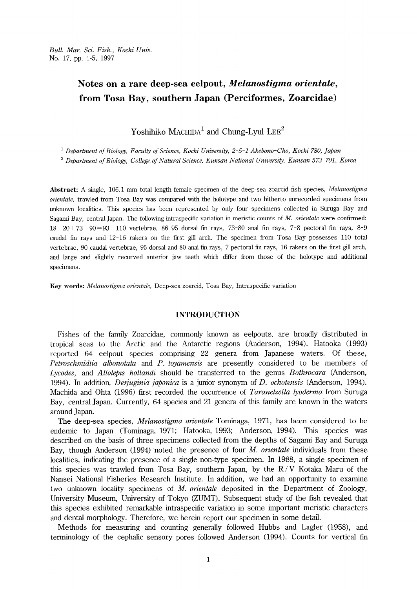## Notes on a rare deep-sea eelpout, Melanostigma orientale, from Tosa Bay, southern Japan (Perciformes, Zoarcidae)

Yoshihiko  $M$ ACHIDA<sup>1</sup> and Chung-Lyul LEE<sup>2</sup>

<sup>1</sup> Department of Biology, Faculty of Science, Kochi University,  $2-5-1$  Akebono-Cho, Kochi 780, Japan

 $2$  Debartment of Biology, College of Natural Science, Kunsan National University, Kunsan 573-701, Korea

Abstract: A single, 106.1 mm total length female specimen of the deep-sea zoarcid fish species, Melanostigma orientale, trawled from Tosa Bay was compared with the holotype and two hitherto unrecorded specimens from tmknown localities. This species has been represented by only four specimens collected in Suruga Bay and Sagami Bay, central Japan. The following intraspecific variation in meristic counts of  $M$ . orientale were confirmed:  $18-20+73-90=93-110$  vertebrae,  $86-95$  dorsal fin rays,  $73-80$  anal fin rays,  $7-8$  pectoral fin rays,  $8-9$ caudal fin rays and 12-16 rakers on the first giil arch. The specimen, from. Tosa Bay possesses 110 total vertebrae, 90 caudal vertebrae, 95 dorsal and 80 anal fin rays, 7 pectoral fin rays, 16 rakers on the first gill arch, and large and slightly recurved anterior jaw teeth which differ from those of the holotype and additional specimens.

Key words: Melanostigma orientale, Deep-sea zoarcid, Tosa Bay, Intraspecific variation

## INT<sub>I</sub>

 Fishes of the family Zoarcidae, commonly known as eelpouts, are broadly distributed in tropical seas to the Arctic and the Antarctic regions (Anderson, 1994). Hatooka (1993) reported 64 eelpout species comprising 22 genera from Japanese waters. Of these,  $Petroschmidta$  albonotata and  $P$ . toyamensis are presently considered to be members of Lycodes, and Alloleptis hollandi should be transferred to the genus Bothrocara (Anderson, 1994). In addition, *Deriuginia japonica* is a junior synonym of D. ochotensis (Anderson, 1994). Machida and Ohta (1996) first recorded the occurrence of *Taranetzella lyoderma* from Suruga Bay, central Japan. Currently, 64 species and 21 genera of this family are known in the waters around Japan.

The deep-sea species, *Melanostigma orientale* Tominaga, 1971, has been considered to be endemic to Japan (Tominaga, 1971; Hatooka, 1993; Anderson, 1994). This species was described on the basis of three specimens collected from the depths of Sagami Bay and Suruga Bay, though Anderson  $(1994)$  noted the presence of four *M. orientale* individuals from these localities, indicating the presence of a single non-type specirnen. In 1988, a single specimen of this species was trawled from Tosa Bay, southern Japan, by the  $R/V$  Kotaka Maru of the Nansei National Fisheries Research Institute. In addition, we had an opportunity to examine two unknown locality specimens of M. orientale deposited in the Department of Zoology, University Museum, University of Tokyo (ZUMT). Subsequent study of the fish revealed that this species exhibited remarkable intraspecific variation in some importnnt meristic characters and denta1 morphology. Therefore, we herein report our specimen in some detail.

 Methods for measuring and counting generally followed Hubbs and Lagler (1958), and terminology of the cephalic sensory pores followed Anderson (1994). Counts for vertical fin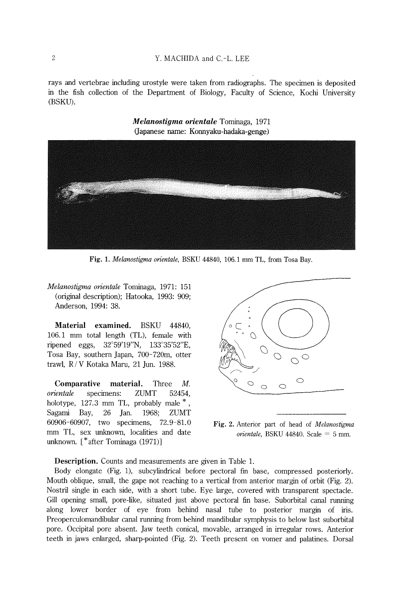rays and vertebrae including urostyle were taken from radiographs. The specimen is deposited in the fish collection of the Department of Biology, Faculty of Science, Kochi University (BSKU).

> Melanostigma orientale Tominaga, 1971 (Japanese name: Konnyaku-hadaka-genge)



Fig. 1. Melanostigma orientale, BSKU 44840, 106.1 mm TL, from Tosa Bay.

Melanostigma on'entale Tominaga, 1971: 151 (original description); Hatooka, 1993: 909; Anderson, l994: 38.

 Material examined. BSKU 44840, 106.1 mm total length (TL), female with ripened eggs,  $32^{\circ}59'19''N$ ,  $133^{\circ}35'52''E$ , Tosa Bay, southern Japan, 700-720m, otter trawl, R/V Kotaka Maru, 21 Jun. 1988.

Comparative material. Three  $M_{\cdot}$ orientale specimens: ZUMT 52454, holotype, 127.3 mm TL, probably male  $^*$ , Sagami Bay, 26 Jan. I968; ZUMT 60906-60907, two specimens, mm TL, sex unknown, localities and date unknown. [\*after Tominaga (1971)]



**Fig. 2.** Anterior part of head of *Melanostigma orientale*, BSKU 44840. Scale  $=$  5 mm

**Description.** Counts and measurements are given in Tabl

Body elongate (Fig. 1), subcylindrical before pectoral fin base, compre Mouth oblique, small, the gape not reaching to a vertical from anterior margin o Nostril single in each side, with a short tube. Eye large, covered with tran Gill opening small, pore-like, situated just above pectoral fin base. Suborb along lower border of eye from behind nasal tube to posterior Preoperculomandibular canal running from behind mandibular symphysis to belo pore. Occipital pore absent. Jaw teeth conical, movable, arranged in irregul teeth in jaws enlarged, sharp-pointed (Fig. 2). Teeth present on vomer and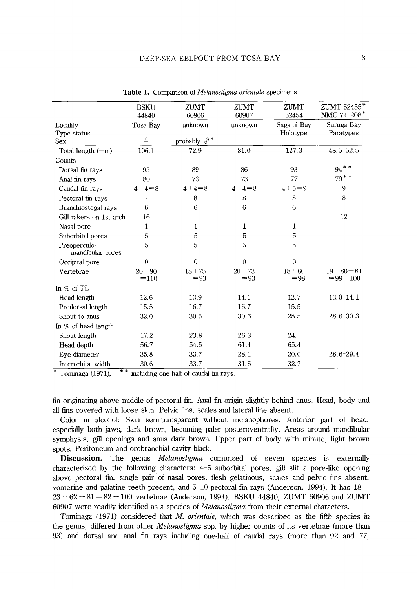|                                  | <b>BSKU</b>         | ZUMT                | ZUMT                | ZUMT               | ZUMT 52455*                    |
|----------------------------------|---------------------|---------------------|---------------------|--------------------|--------------------------------|
|                                  | 44840               | 60906               | 60907               | 52454              | NMC 71-208*                    |
| Locality                         | Tosa Bay            | unknown             | unknown             | Sagami Bav         | Suruga Bay                     |
| Type status                      |                     |                     |                     | Holotype           | Paratypes                      |
| <b>Sex</b>                       | $\overline{P}$      | probably $\delta^*$ |                     |                    |                                |
| Total length (mm)                | 106.1               | 72.9                | 81.0                | 127.3              | 48.5-52.5                      |
| Counts                           |                     |                     |                     |                    |                                |
| Dorsal fin rays                  | 95                  | 89                  | 86                  | 93                 | $94$ * *                       |
| Anal fin rays                    | 80                  | 73                  | 73                  | 77                 | $79$ * *                       |
| Caudal fin rays                  | $4+4=8$             | $4+4=8$             | $4+4=8$             | $4 + 5 = 9$        | 9                              |
| Pectoral fin rays                | 7                   | 8                   | 8                   | 8                  | 8                              |
| Branchiostegal rays              | 6                   | 6                   | 6                   | 6                  |                                |
| Gill rakers on 1st arch          | 16                  |                     |                     |                    | 12                             |
| Nasal pore                       | 1                   | 1                   | 1                   | $\mathbf{1}$       |                                |
| Suborbital pores                 | 5                   | 5                   | 5                   | 5                  |                                |
| Preoperculo-<br>mandibular pores | 5                   | 5                   | 5                   | 5                  |                                |
| Occipital pore                   | $\overline{0}$      | $\theta$            | $\theta$            | $\theta$           |                                |
| Vertebrae                        | $20 + 90$<br>$=110$ | $18 + 75$<br>$= 93$ | $20 + 73$<br>$= 93$ | $18 + 80$<br>$=98$ | $19 + 80 - 81$<br>$= 99 - 100$ |
| In $%$ of TL                     |                     |                     |                     |                    |                                |
| Head length                      | 12.6                | 13.9                | 14.1                | 12.7               | $13.0 - 14.1$                  |
| Predorsal length                 | 15.5                | 16.7                | 16.7                | 15.5               |                                |
| Snout to anus                    | 32.0                | 30.5                | 30.6                | 28.5               | $28.6 - 30.3$                  |
| In % of head length              |                     |                     |                     |                    |                                |
| Snout length                     | 17.2                | 23.8                | 26.3                | 24.1               |                                |
| Head depth                       | 56.7                | 54.5                | 61.4                | 65.4               |                                |
| Eye diameter                     | 35.8                | 33.7                | 28.1                | 20.0               | 28.6-29.4                      |
| Interorbital width               | 30.6                | 33.7                | 31.6                | 32.7               |                                |

Table 1. Comparison of *Melanostigma orientale* specimens

\* Tominaga (1971),  $*$  \* including one-half of caudal fin rays.

fin originating above middle of pectoral fin. Anal fin origin slightiy behind anus. Head, body and all fins covered with loose skin. Pelvic fins, scales and lateral lme absent.

 Color in alcohol: Skm semitransparent without melanophores. Anterior part of head, especially both jaws, dark brown, becoming paler posteroventrally. Areas around mandibular symphysis, gill openings and anus dark brown. Upper part of body with minute, light brown spots. Peritoneum and orobranchial cavity black.

Discussion. The genus *Melanostigma* comprised of seven species is externally characterized by the following characters: 4-5 suborbital pores, gill slit a pore-like opening above pectoral fin, single pair of nasal pores, flesh gelatinous, scales and pelvic fins absent, vomerine and palatine teeth present, and  $5-10$  pectoral fin rays (Anderson, 1994). It has  $18 23+62-81=82-100$  vertebrae (Anderson, 1994). BSKU 44840, ZUMT 60906 and ZUMT 60907 were readily identfied as a species of Melanostigma from their external characters.

 Tominaga (1971) considered that M. orientale, which was described as the fifth species in the genus, differed from other *Melanostigma* spp. by higher counts of its vertebrae (more than 93) and dorsal and anal fin rays including one-half of caudal rays (more than 92 and 77,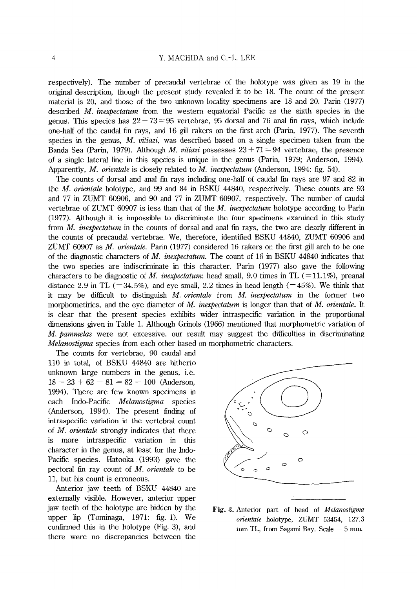respectively). The number of precaudal vertebrae of the holotype was given as 19 in the original description, though the present study revealed it to be 18. The count of the present material is 20, and those of the two unknown locality specimens are  $18$  and  $20$ . Parin (1977) described  $M$ , *inexpectatum* from the western equatorial Pacific as the sixth species in the genus. This species has  $22 + 73 = 95$  vertebrae, 95 dorsal and 76 anal fin rays, which include one-half of the caudal fin rays, and 16 gill rakers on the first arch (Parin, 1977). The seventh species in the genus, M. vitiazi, was described based on a single specimen taken from the Banda Sea (Parin, 1979). Although *M. vitiazi* possesses  $23 + 71 = 94$  vertebrae, the presence of a single lateral 1ine in this species is mique in the genus (Parin, 1979; Anderson, 1994). Apparently, M. orientale is closely related to M. inexpectatum (Anderson, 1994: fig. 54).

 The counts of dorsal and anal fin rays including one-half of caudal im rays are 97 and 82 in the *M. orientale* holotype, and 99 and 84 in BSKU 44840, respectively. These counts are 93 and 77 in ZUMT 60906, and 90 and 77 in ZUMT 60907, respectively. The number of caudai vertebrae of ZUMT 60907 is less than that of the  $M$ . *inexpectatum* holotype according to Parin (1977). Although it is impossible to discriminate the four specimens exarnined in this study from *M. inexpectatum* in the counts of dorsal and anal fin rays, the two are clearly different in the counts of precaudal vertebrae. We, therefore, identified BSKU 44840, ZUMT 60906 and ZUMT 60907 as  $M$ . orientale. Parin (1977) considered 16 rakers on the first gill arch to be one of the diagnostic characters of M. inexpectatum. The count of 16 in BSKU 44840 indicates that the two species are indiscriminate in this character. Parin (1977) also gave the following characters to be diagnostic of M. inexpectatum: head small, 9.0 times in TL (=11.1%), preanal distance 2.9 in TL ( $=34.5\%$ ), and eye small, 2.2 times in head length ( $=45\%$ ). We think that it may be difficult to distinguish  $M$ . orientale from  $M$ . inexpectatum in the former two morphometirics, and the eye diameter of M. *inexpectatum* is longer than that of M. *orientale*. It is clear that the present species exhibits wider intraspecific variation in the proportional dimensions given in Table 1. Although Grinols (1966) mentioned that morphometric variation of M. pammelas were not excessive, our result may suggest the difficulties in discriminating Melanostigma species from each other based on morphometric characters.

 The counts for vertebrae, 90 caudal and 110 in total, of BSKU 44840 are hitherto unknown large numbers in the genus, i.e.  $18 - 23 + 62 - 81 = 82 - 100$  (Anderson, 1994). There are few known specimens in each Indo-Pacific Melanostigma species (Anderson, 1994). The present finding of intraspecific variation in the vertebral count of M. orientale strongly indicates that there is more intraspecific variation in this character in the genus, at least for the Indo-Pacific species. Hatooka (1993) gave the pectoral fin ray count of  $M$ . orientale to be 11, but his count is erroneous.

 Anterior jaw teeth of BSKU 44840 are externally visible. However, anterior upper jaw teeth of the holotype are hidden by the upper lip (Tominaga, 1971: fig. 1). We confirmed this in the holotype (Fig. 3), and there were no discrepancies between the



Fig. 3. Anterior part of head of Melanostigma orientale holotype, ZUMT 53454, 127.3 mm TL, from Sagami Bay. Scale  $=$  5 mm.